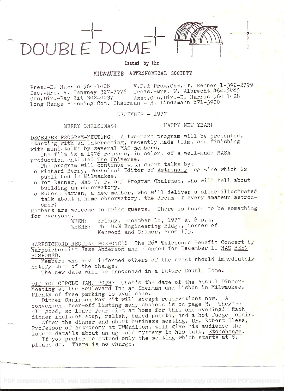



in the contract of the contract of the contract of the contract of the contract of the contract of the contract of the contract of the contract of the contract of the contract of the contract of the contract of the contrac

Issued by the

## MILWAUKEE ASTRONOMICAL SOCIETY

Pres.-D. Harris  $964-1428$  V.P.& Prog.Chm.-T. Renner 1-392-2799  $Sec.-Mrs. V. Tangney 327-7976 Treas.-Mrs. W. Albrecht 464-5085 T.$ Obs.Dir.-Ray Zit 342-4037 Asst.Obs.Dir.-D. Harris 964-1428 Long Range Planning Com. Chairman - H. Lindemann 871-5900

DECEMBER - 1977

MERRY CHRISTMAS

## HAPPY NEW YEAR!

DECEMBER PROGRAM-MEETING: A two-part program will be presented, starting with an interesting, recently made film, and finishing with mini-talks by several MAS members.

The film is a 1976 release, in color, of a well-made NASA production entitled The Universe.

The program will continue with short talks by:

- o Richard Berry, Technical Editor of Astronomy magazine which is published in Milwaukee.
- o Tom Renner, MAS V. P. and Program Chairman, who will tell about building an observatory.
- o Robert Warren, a new member, who will deliver a slide-illustrated talk about a home observatory, the dream of every amateur astron-<br>omer!

omer:<br>Members are welcome to bring guests. There is bound to be something for everyone.

Friday, December 16, 1977 at 8 p.m. WHERE: The UWM Engineering Bldg., Corner of Kenwood and Cramer, Room 135.

HARPSICHORD RECITAL POSPONED! The 26" Telescope Benefit Concert by harpsichordist Jess Anderson and planned for December 11 HAS BEEN POSPONED.

Members who have informed others of the event should immediately notify them of the change.

The new date will be announced in a future Double Dome.

DID YOU CIRCLE JAN. 20TH? That's the date of the Annual Dinner-Meeting at the Boulevard Inn at Sherman and Lisbon in Milwaukee. Plenty of free parking is available.

Dinner Chairman Ray Zit will accept reservations now. A convenient tear-off listing many choices is on page 3. They're all good, so leave your diet at home for this one evening! Each dinner includes soup, relish, baked potato, and a hot fudge eclair.

After the dinner and short business meeting, Dr. Robert Bless, Professor of Astronomy at UWMadison, will give his audience the<br>latest details about an age-old mystery in his talk, Stonehenge.

If you prefer to attend only the meeting which starts at 8, please do. There is no charge.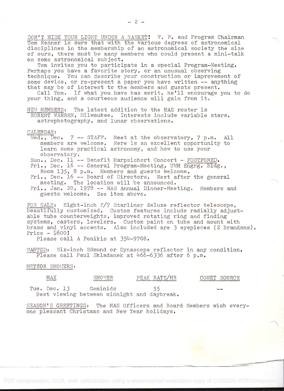DON'T HIDE YOUR LIGHT UNDER A BASKET! V. P. and Program Chairman Tom Renner is sure that with the various degrees of astronomical disciplines in the membership of an astronomical society the size of ours, there must be many members who could present a mini-talk on some astronomical subject.<br>Tom invites you to participate in a special Program-Meeting.

Perhaps you have a favorite story, or an unusual observing<br>technique. You can describe your construction or improvement of some device, or re-present a paper you have written -- anything<br>that may be of interest to the members and guests present.<br>Call Tom. If what you have has merit, he'll encourage you to do

your thing, and a courteous audience will gain from it.

NEW MEMBERS: The latest addition to the MAS roster is ROBERT WARREN, Milwaukee. Interests include variable stars,<br>astrophotography, and lunar observations.

## CALENDAR:

- Wed., Dec. 7 -- STAFF. Meet at the observatory, 7 p.m. All members are welcome. Here is an excellent opportunity to<br>learn some practical astronomy, and how to use your
- 
- observatory.<br>
Sun., Dec. 11 -- Benefit Harpsichort Concert POSTPONED.<br>
Fri., Dec. 16 -- General Program-Meeting, UWM Engrg. Bldg.,<br>
Room 135, 8 p.m. Members and guests welcome.

Fri., Dec. 16 -- Board of Directors. Meet after the general<br>meeting. The location will be announced.

 $Fri., Jan.$  20, 1978 -- MAS Annual Dinner-Meeting. Members and guests welcome. See item above.

FOR SALE: Eight-inch  $f/7$  Starliner deluxe reflector telescope,<br>beautifully customized. Custom features include radially adjust-<br>able tube counterweights, improved rotating ring and finding<br>systems, casters, levelers. Cu

Please call A Penikis at 354-9708.

WANTED: Six-inch Edmund or Dynascope reflector in any condition. Please call Paul Skladanek at 466-6336 after 6 p.m.

## METEOR SHOWERS:

| MAX             | : 147<br>- – – 1<br><b>WARREN WAS ARRESTED FOR THE COMPANY</b> | 7 H D<br>R<br>i to<br>comparison and the comparison of any substantial personal description and contract several | ा प्रग<br>7IIRCE<br>The Column Street and Column Street and Column Street and Column Street and Column Street and Street and |
|-----------------|----------------------------------------------------------------|------------------------------------------------------------------------------------------------------------------|------------------------------------------------------------------------------------------------------------------------------|
| Tue.<br>)ec.    | Geminids                                                       |                                                                                                                  | $\rightarrow$                                                                                                                |
| Best<br>viewing | between midnight and                                           | daybreak.                                                                                                        |                                                                                                                              |

SEASON'S GREETINGS: The MAS Officers and Board Members wish everyone pleasant Christmas and New Year holidays.